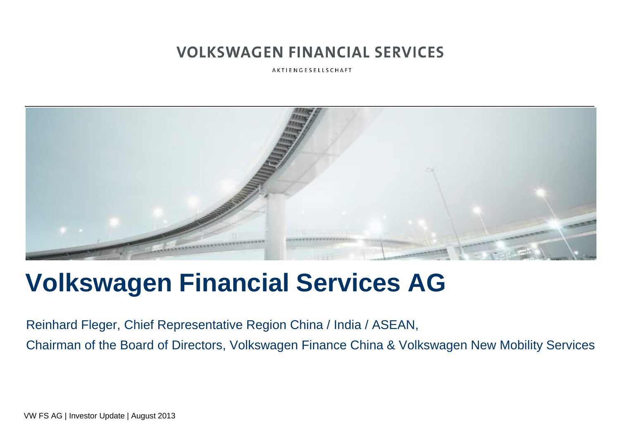AKTIENGESELLSCHAFT



## **Volkswagen Financial Services AG**

Reinhard Fleger, Chief Representative Region China / India / ASEAN, Chairman of the Board of Directors, Volkswagen Finance China & Volkswagen New Mobility Services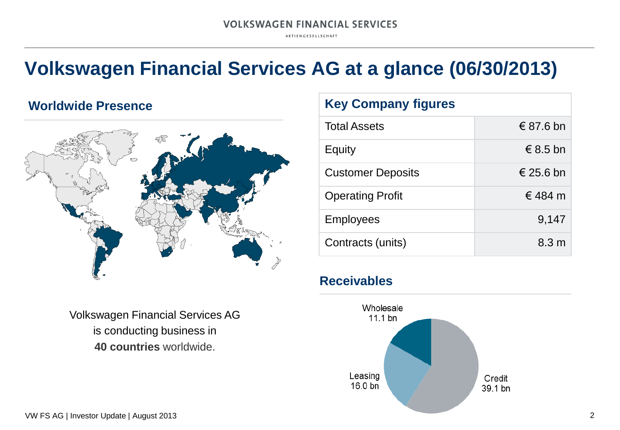AKTIENGESELLSCHAFT

## **Volkswagen Financial Services AG at a glance (06/30/2013)**

#### **Worldwide Presence**



Volkswagen Financial Services AG is conducting business in **40 countries** worldwide.

#### **Key Company figures**

| <b>Total Assets</b>      | € 87.6 bn       |
|--------------------------|-----------------|
| Equity                   | € 8.5 bn        |
| <b>Customer Deposits</b> | € 25.6 bn       |
| <b>Operating Profit</b>  | € 484 m         |
| <b>Employees</b>         | 9,147           |
| Contracts (units)        | $8.3 \text{ m}$ |

#### **Receivables**

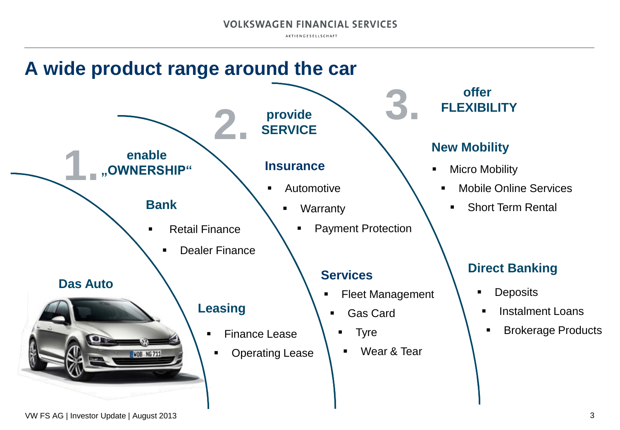AKTIENGESELLSCHAFT

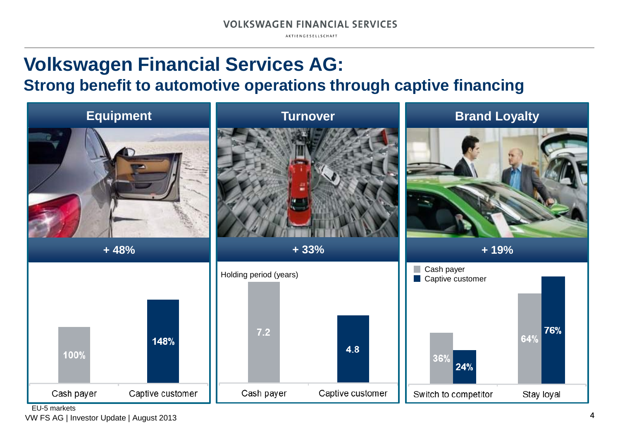AKTIENGESELLSCHAFT

## **Volkswagen Financial Services AG: Strong benefit to automotive operations through captive financing**



EU-5 markets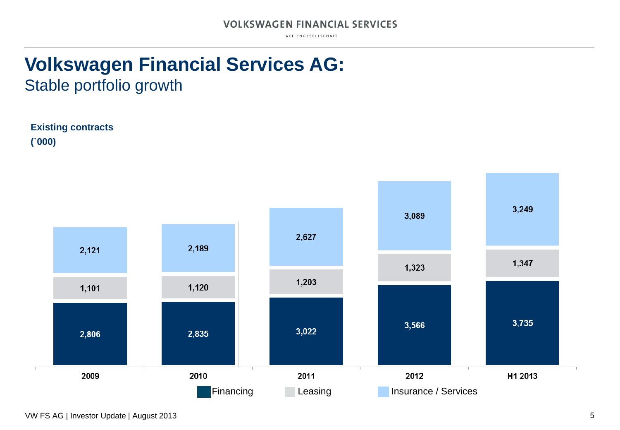AKTIENGESELLSCHAFT

## **Volkswagen Financial Services AG:** Stable portfolio growth



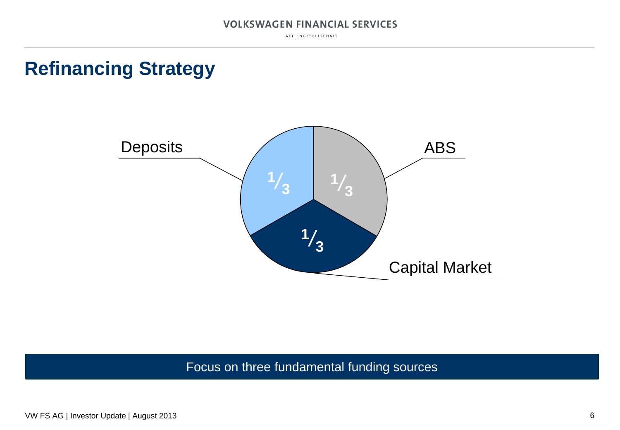AKTIENGESELLSCHAFT

## **Refinancing Strategy**



Focus on three fundamental funding sources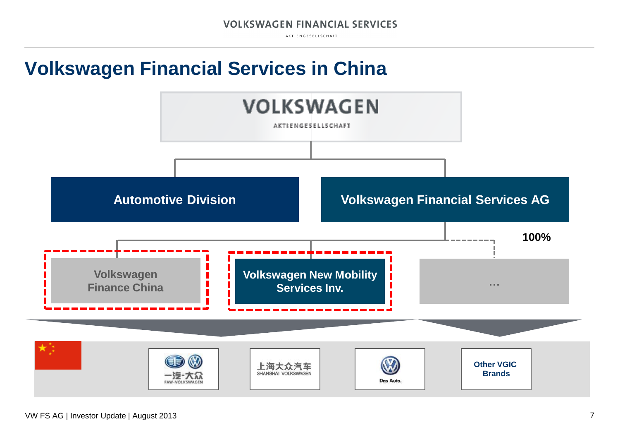AKTIENGESELLSCHAFT

## **Volkswagen Financial Services in China**

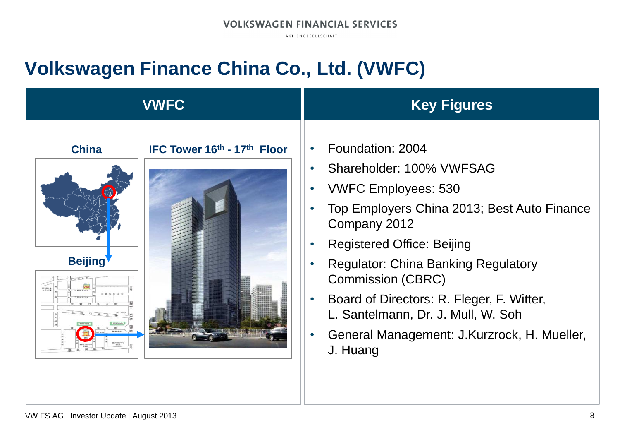AKTIENGESELLSCHAFT

## **Volkswagen Finance China Co., Ltd. (VWFC)**

| <b>VWFC</b>                                                   | <b>Key Figures</b>                                                                                                                                                                                                                                                                                                                                                                                                                            |
|---------------------------------------------------------------|-----------------------------------------------------------------------------------------------------------------------------------------------------------------------------------------------------------------------------------------------------------------------------------------------------------------------------------------------------------------------------------------------------------------------------------------------|
| IFC Tower 16th - 17th Floor<br><b>China</b><br><b>Beijing</b> | Foundation: 2004<br>$\bullet$<br>Shareholder: 100% VWFSAG<br><b>VWFC Employees: 530</b><br>$\bullet$<br>Top Employers China 2013; Best Auto Finance<br>Company 2012<br><b>Registered Office: Beijing</b><br><b>Regulator: China Banking Regulatory</b><br><b>Commission (CBRC)</b><br>Board of Directors: R. Fleger, F. Witter,<br>$\bullet$<br>L. Santelmann, Dr. J. Mull, W. Soh<br>General Management: J.Kurzrock, H. Mueller,<br>J. Huang |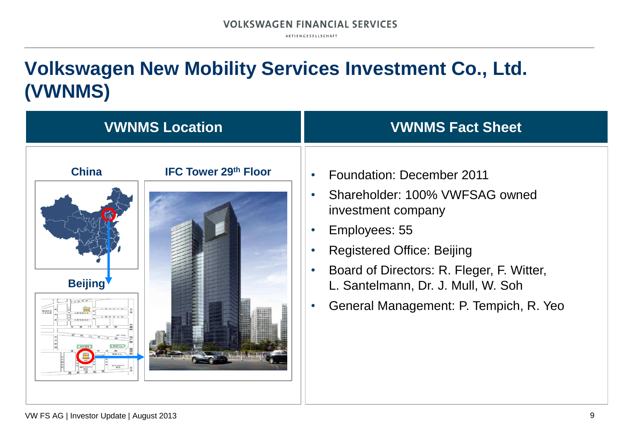AKTIENGESELLSCHAFT

## **Volkswagen New Mobility Services Investment Co., Ltd. (VWNMS)**

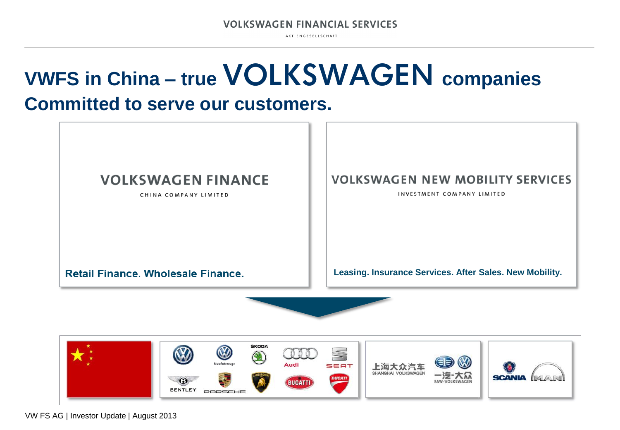AKTIENGESELLSCHAFT

# **VWFS in China – true VOLKSWAGEN companies**

## **Committed to serve our customers.**



CHINA COMPANY LIMITED

#### **VOLKSWAGEN NEW MOBILITY SERVICES**

INVESTMENT COMPANY LIMITED

**Retail Finance, Wholesale Finance.** 

**Leasing. Insurance Services. After Sales. New Mobility.**

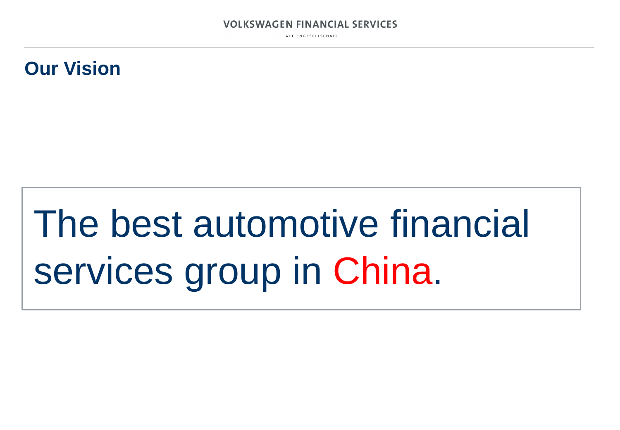AKTIENGESELLSCHAFT

## **Our Vision**

# The best automotive financial services group in China.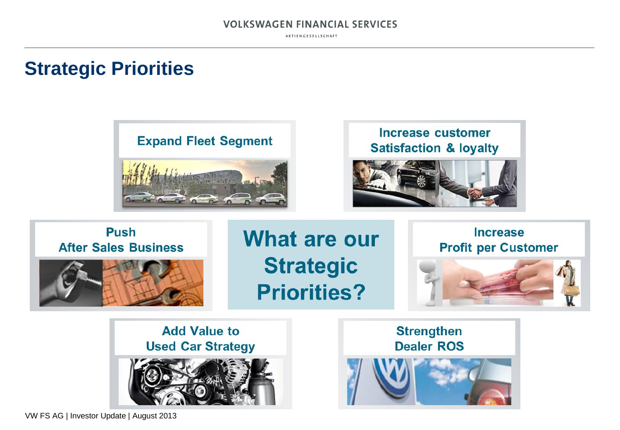AKTIENGESELLSCHAFT

## **Strategic Priorities**



**Increase customer Satisfaction & loyalty** 



#### **Push After Sales Business**

**What are our Strategic Priorities?** 

**Increase Profit per Customer** 



**Add Value to Used Car Strategy** 



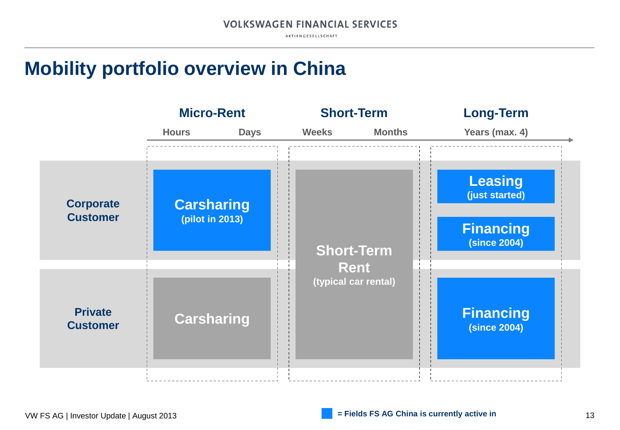AKTIENGESELLSCHAFT

## **Mobility portfolio overview in China**

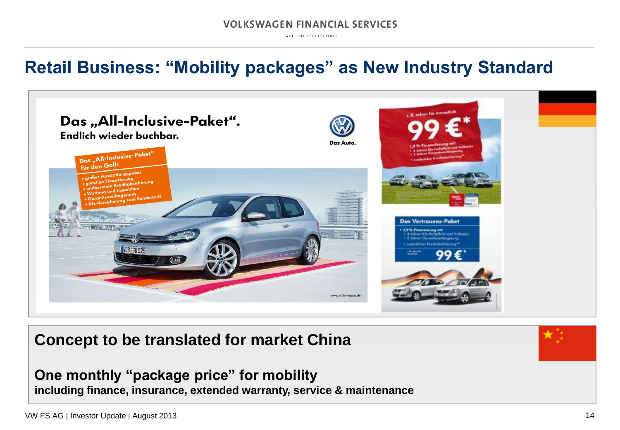AKTIENGESELLSCHAFT

## **Retail Business: "Mobility packages" as New Industry Standard**



### **Concept to be translated for market China**

**One monthly "package price" for mobility including finance, insurance, extended warranty, service & maintenance**